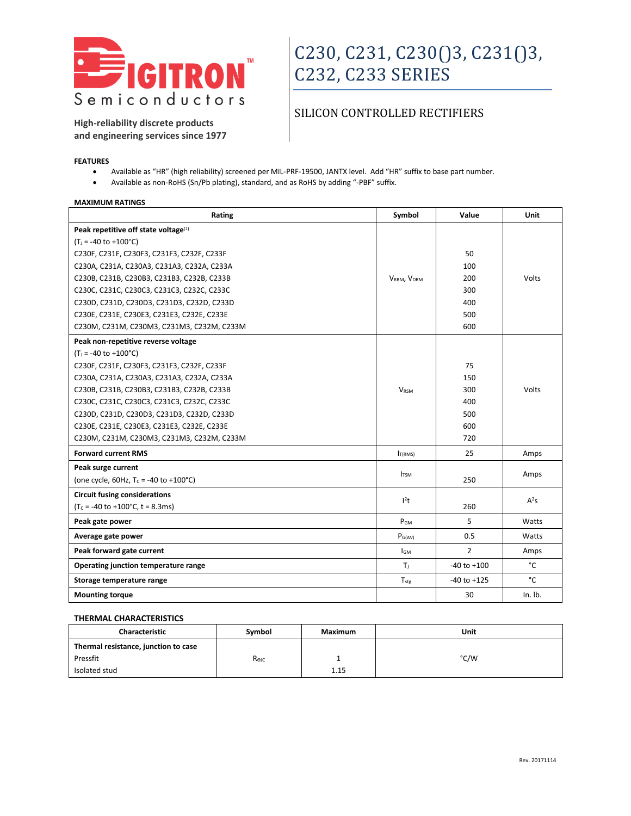

**High-reliability discrete products and engineering services since 1977**

### SILICON CONTROLLED RECTIFIERS

#### **FEATURES**

- Available as "HR" (high reliability) screened per MIL-PRF-19500, JANTX level. Add "HR" suffix to base part number.
- Available as non-RoHS (Sn/Pb plating), standard, and as RoHS by adding "-PBF" suffix.

#### **MAXIMUM RATINGS**

| Rating                                             | Symbol                  | Value           | Unit    |
|----------------------------------------------------|-------------------------|-----------------|---------|
| Peak repetitive off state voltage <sup>(1)</sup>   |                         |                 |         |
| $(T_i = -40$ to $+100^{\circ}$ C)                  |                         |                 |         |
| C230F, C231F, C230F3, C231F3, C232F, C233F         |                         | 50              |         |
| C230A, C231A, C230A3, C231A3, C232A, C233A         |                         | 100             |         |
| C230B, C231B, C230B3, C231B3, C232B, C233B         | VRRM, VDRM              | 200             | Volts   |
| C230C, C231C, C230C3, C231C3, C232C, C233C         |                         | 300             |         |
| C230D, C231D, C230D3, C231D3, C232D, C233D         |                         | 400             |         |
| C230E, C231E, C230E3, C231E3, C232E, C233E         |                         | 500             |         |
| C230M, C231M, C230M3, C231M3, C232M, C233M         |                         | 600             |         |
| Peak non-repetitive reverse voltage                |                         |                 |         |
| $(T_i = -40$ to $+100^{\circ}$ C)                  |                         |                 |         |
| C230F, C231F, C230F3, C231F3, C232F, C233F         |                         | 75              |         |
| C230A, C231A, C230A3, C231A3, C232A, C233A         |                         | 150             |         |
| C230B, C231B, C230B3, C231B3, C232B, C233B         | <b>VRSM</b>             | 300             | Volts   |
| C230C, C231C, C230C3, C231C3, C232C, C233C         |                         | 400             |         |
| C230D, C231D, C230D3, C231D3, C232D, C233D         |                         | 500             |         |
| C230E, C231E, C230E3, C231E3, C232E, C233E         |                         | 600             |         |
| C230M, C231M, C230M3, C231M3, C232M, C233M         |                         | 720             |         |
| <b>Forward current RMS</b>                         | I <sub>T(RMS)</sub>     | 25              | Amps    |
| Peak surge current                                 |                         |                 |         |
| (one cycle, 60Hz, $T_c = -40$ to $+100^{\circ}$ C) | <b>I</b> <sub>TSM</sub> | 250             | Amps    |
| <b>Circuit fusing considerations</b>               | $l^2t$                  |                 |         |
| $(T_c = -40$ to $+100$ °C, t = 8.3ms)              |                         | 260             | $A^2S$  |
| Peak gate power                                    | $P_{GM}$                | 5               | Watts   |
| Average gate power                                 | $P_{G(AV)}$             | 0.5             | Watts   |
| Peak forward gate current                          | <b>I</b> GM             | $\overline{2}$  | Amps    |
| Operating junction temperature range               | Τı.                     | $-40$ to $+100$ | °C      |
| Storage temperature range                          | $T_{\text{stg}}$        | $-40$ to $+125$ | °C      |
| <b>Mounting torque</b>                             |                         | 30              | In. lb. |

#### **THERMAL CHARACTERISTICS**

| Characteristic                       | Symbol         | Maximum | Unit |
|--------------------------------------|----------------|---------|------|
| Thermal resistance, junction to case |                |         |      |
| Pressfit                             | $R_{\theta$ JC |         | °C/W |
| Isolated stud                        |                | 1.15    |      |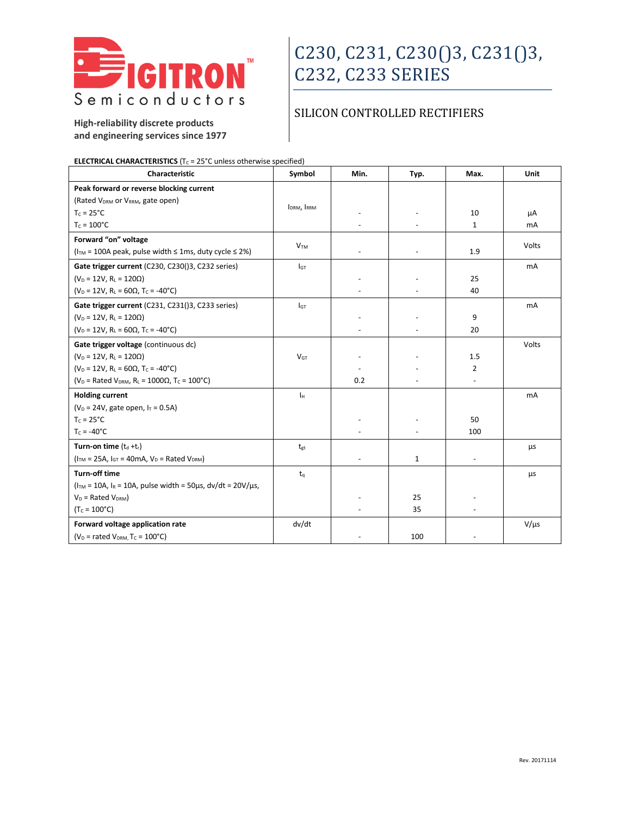

## SILICON CONTROLLED RECTIFIERS

**High-reliability discrete products and engineering services since 1977**

| <b>ELECTRICAL CHARACTERISTICS</b> ( $T_c$ = 25°C unless otherwise specified)         |                         |      |                          |                |             |
|--------------------------------------------------------------------------------------|-------------------------|------|--------------------------|----------------|-------------|
| Characteristic                                                                       | Symbol                  | Min. | Typ.                     | Max.           | <b>Unit</b> |
| Peak forward or reverse blocking current                                             |                         |      |                          |                |             |
| (Rated V <sub>DRM</sub> or V <sub>RRM</sub> , gate open)                             | I <sub>DRM</sub> , IRRM |      |                          |                |             |
| $T_c = 25^{\circ}C$                                                                  |                         |      | $\overline{\phantom{a}}$ | 10             | μA          |
| $T_c = 100^{\circ}C$                                                                 |                         |      |                          | $\mathbf{1}$   | mA          |
| Forward "on" voltage                                                                 | V <sub>TM</sub>         |      |                          |                | Volts       |
| ( $ITM = 100A peak$ , pulse width $\leq 1$ ms, duty cycle $\leq 2\%$ )               |                         |      |                          | 1.9            |             |
| Gate trigger current (C230, C230()3, C232 series)                                    | $I$ <sub>GT</sub>       |      |                          |                | mA          |
| $(V_D = 12V, R_L = 120\Omega)$                                                       |                         |      | $\overline{\phantom{a}}$ | 25             |             |
| $(V_D = 12V, R_1 = 60\Omega, T_C = -40^{\circ}C)$                                    |                         |      | $\overline{\phantom{a}}$ | 40             |             |
| Gate trigger current (C231, C231()3, C233 series)                                    | l <sub>GT</sub>         |      |                          |                | mA          |
| $(V_D = 12V, R_L = 120\Omega)$                                                       |                         |      |                          | 9              |             |
| $(V_D = 12V, R_L = 60\Omega, T_C = -40^{\circ}C)$                                    |                         |      |                          | 20             |             |
| Gate trigger voltage (continuous dc)                                                 |                         |      |                          |                | Volts       |
| $(V_D = 12V, R_L = 120\Omega)$                                                       | V <sub>GT</sub>         |      |                          | 1.5            |             |
| $(V_D = 12V, R_L = 60\Omega, T_C = -40^{\circ}C)$                                    |                         |      |                          | $\overline{2}$ |             |
| ( $V_D$ = Rated $V_{DRM}$ , R <sub>L</sub> = 1000 $\Omega$ , T <sub>C</sub> = 100°C) |                         | 0.2  |                          |                |             |
| <b>Holding current</b>                                                               | Iн                      |      |                          |                | mA          |
| $(V_D = 24V,$ gate open, $I_T = 0.5A)$                                               |                         |      |                          |                |             |
| $T_c = 25^{\circ}C$                                                                  |                         |      |                          | 50             |             |
| $T_c = -40^{\circ}C$                                                                 |                         |      | $\overline{\phantom{a}}$ | 100            |             |
| Turn-on time $(t_d + t_r)$                                                           | tgt                     |      |                          |                | μs          |
| $(ITM = 25A, IGT = 40mA, VD = Rated VDRM)$                                           |                         |      | $\mathbf{1}$             | $\blacksquare$ |             |
| <b>Turn-off time</b>                                                                 | $t_{q}$                 |      |                          |                | μs          |
| $(ITM = 10A, IR = 10A, pulse width = 50 \mu s, dv/dt = 20 V/\mu s,$                  |                         |      |                          |                |             |
| $V_D$ = Rated $V_{DRM}$ )                                                            |                         |      | 25                       |                |             |
| $(T_c = 100^{\circ}C)$                                                               |                         |      | 35                       |                |             |
| Forward voltage application rate                                                     | dv/dt                   |      |                          |                | $V/\mu s$   |
| ( $V_D$ = rated $V_{DRM}$ , T <sub>C</sub> = 100°C)                                  |                         |      | 100                      |                |             |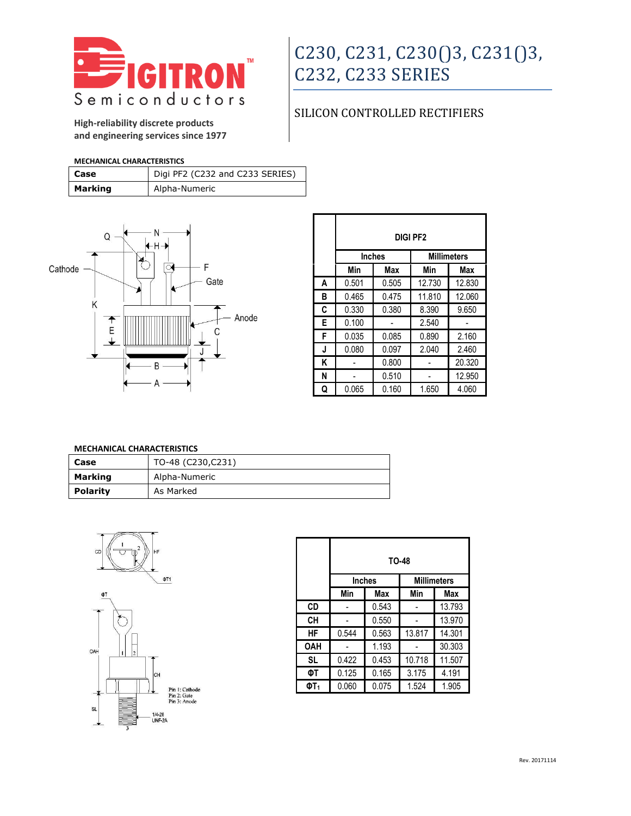

## SILICON CONTROLLED RECTIFIERS

**High-reliability discrete products and engineering services since 1977**

#### **MECHANICAL CHARACTERISTICS**

| l Case  | Digi PF2 (C232 and C233 SERIES) |
|---------|---------------------------------|
| Marking | Alpha-Numeric                   |



|   | DIGI PF2 |               |        |                    |
|---|----------|---------------|--------|--------------------|
|   |          | <b>Inches</b> |        | <b>Millimeters</b> |
|   | Min      | <b>Max</b>    | Min    | Max                |
| A | 0.501    | 0.505         | 12.730 | 12.830             |
| В | 0.465    | 0.475         | 11.810 | 12.060             |
| C | 0.330    | 0.380         | 8.390  | 9.650              |
| Е | 0.100    |               | 2.540  |                    |
| F | 0.035    | 0.085         | 0.890  | 2.160              |
| J | 0.080    | 0.097         | 2.040  | 2.460              |
| Κ |          | 0.800         |        | 20.320             |
| N |          | 0.510         |        | 12.950             |
| Q | 0.065    | 0.160         | 1.650  | 4.060              |

### **MECHANICAL CHARACTERISTICS**

| Case            | TO-48 (C230,C231) |  |
|-----------------|-------------------|--|
| <b>Marking</b>  | Alpha-Numeric     |  |
| <b>Polarity</b> | As Marked         |  |



|                 | TO-48                               |       |        |        |
|-----------------|-------------------------------------|-------|--------|--------|
|                 | <b>Millimeters</b><br><b>Inches</b> |       |        |        |
|                 | Min                                 | Max   | Min    | Max    |
| CD              |                                     | 0.543 |        | 13.793 |
| CН              |                                     | 0.550 |        | 13.970 |
| HF              | 0.544                               | 0.563 | 13.817 | 14.301 |
| <b>OAH</b>      |                                     | 1.193 |        | 30.303 |
| <b>SL</b>       | 0.422                               | 0.453 | 10.718 | 11.507 |
| ΦT              | 0.125                               | 0.165 | 3.175  | 4.191  |
| ΦT <sub>1</sub> | 0.060                               | 0.075 | 1.524  | 1.905  |